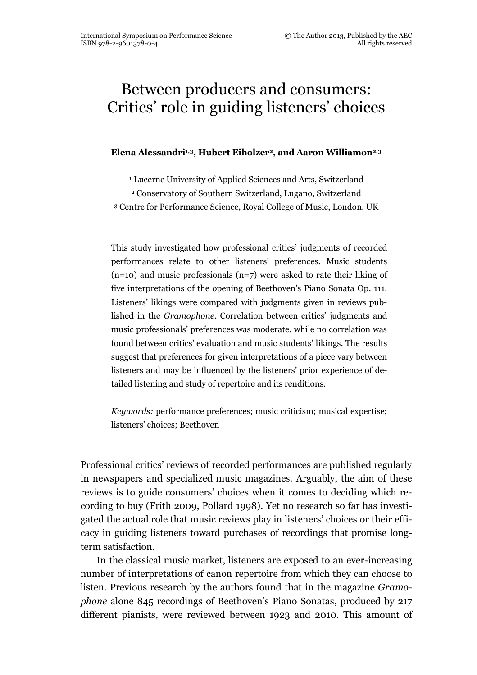# Between producers and consumers: Critics' role in guiding listeners' choices

Elena Alessandri<sup>1,3</sup>, Hubert Eiholzer<sup>2</sup>, and Aaron Williamon<sup>2,3</sup>

<sup>1</sup> Lucerne University of Applied Sciences and Arts, Switzerland

<sup>2</sup> Conservatory of Southern Switzerland, Lugano, Switzerland

<sup>3</sup> Centre for Performance Science, Royal College of Music, London, UK

This study investigated how professional critics' judgments of recorded performances relate to other listeners' preferences. Music students  $(n=10)$  and music professionals  $(n=7)$  were asked to rate their liking of five interpretations of the opening of Beethoven's Piano Sonata Op. 111. Listeners' likings were compared with judgments given in reviews published in the Gramophone. Correlation between critics' judgments and music professionals' preferences was moderate, while no correlation was found between critics' evaluation and music students' likings. The results suggest that preferences for given interpretations of a piece vary between listeners and may be influenced by the listeners' prior experience of detailed listening and study of repertoire and its renditions.

Keywords: performance preferences; music criticism; musical expertise; listeners' choices; Beethoven

Professional critics' reviews of recorded performances are published regularly in newspapers and specialized music magazines. Arguably, the aim of these reviews is to guide consumers' choices when it comes to deciding which recording to buy (Frith 2009, Pollard 1998). Yet no research so far has investigated the actual role that music reviews play in listeners' choices or their efficacy in guiding listeners toward purchases of recordings that promise longterm satisfaction.

In the classical music market, listeners are exposed to an ever-increasing number of interpretations of canon repertoire from which they can choose to listen. Previous research by the authors found that in the magazine Gramophone alone 845 recordings of Beethoven's Piano Sonatas, produced by 217 different pianists, were reviewed between 1923 and 2010. This amount of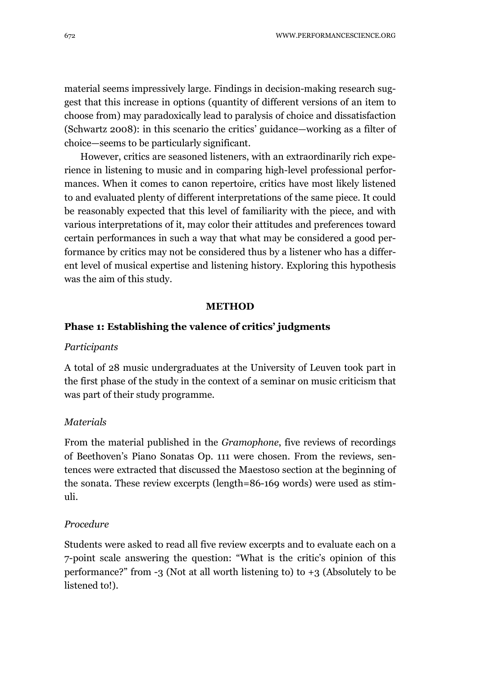material seems impressively large. Findings in decision-making research suggest that this increase in options (quantity of different versions of an item to choose from) may paradoxically lead to paralysis of choice and dissatisfaction (Schwartz 2008): in this scenario the critics' guidance—working as a filter of choice—seems to be particularly significant.

However, critics are seasoned listeners, with an extraordinarily rich experience in listening to music and in comparing high-level professional performances. When it comes to canon repertoire, critics have most likely listened to and evaluated plenty of different interpretations of the same piece. It could be reasonably expected that this level of familiarity with the piece, and with various interpretations of it, may color their attitudes and preferences toward certain performances in such a way that what may be considered a good performance by critics may not be considered thus by a listener who has a different level of musical expertise and listening history. Exploring this hypothesis was the aim of this study.

#### **METHOD**

## Phase 1: Establishing the valence of critics' judgments

#### **Participants**

A total of 28 music undergraduates at the University of Leuven took part in the first phase of the study in the context of a seminar on music criticism that was part of their study programme.

# **Materials**

From the material published in the Gramophone, five reviews of recordings of Beethoven's Piano Sonatas Op. 111 were chosen. From the reviews, sentences were extracted that discussed the Maestoso section at the beginning of the sonata. These review excerpts (length=86-169 words) were used as stimuli.

## Procedure

Students were asked to read all five review excerpts and to evaluate each on a 7-point scale answering the question: "What is the critic's opinion of this performance?" from -3 (Not at all worth listening to) to +3 (Absolutely to be listened to!).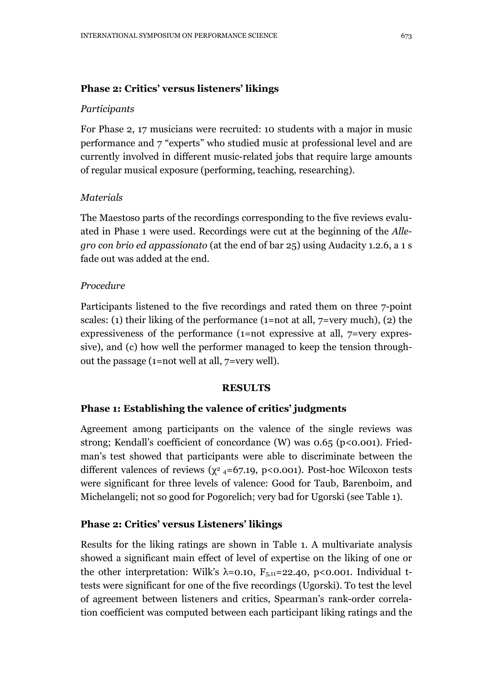# Phase 2: Critics' versus listeners' likings

# **Participants**

For Phase 2, 17 musicians were recruited: 10 students with a major in music performance and 7 "experts" who studied music at professional level and are currently involved in different music-related jobs that require large amounts of regular musical exposure (performing, teaching, researching).

## **Materials**

The Maestoso parts of the recordings corresponding to the five reviews evaluated in Phase 1 were used. Recordings were cut at the beginning of the Allegro con brio ed appassionato (at the end of bar 25) using Audacity 1.2.6, a 1 s fade out was added at the end.

## Procedure

Participants listened to the five recordings and rated them on three 7-point scales: (1) their liking of the performance (1=not at all,  $7=$ very much), (2) the expressiveness of the performance (1=not expressive at all, 7=very expressive), and (c) how well the performer managed to keep the tension throughout the passage (1=not well at all, 7=very well).

## RESULTS

# Phase 1: Establishing the valence of critics' judgments

Agreement among participants on the valence of the single reviews was strong; Kendall's coefficient of concordance (W) was 0.65 (p<0.001). Friedman's test showed that participants were able to discriminate between the different valences of reviews ( $\chi^2$  4=67.19, p<0.001). Post-hoc Wilcoxon tests were significant for three levels of valence: Good for Taub, Barenboim, and Michelangeli; not so good for Pogorelich; very bad for Ugorski (see Table 1).

# Phase 2: Critics' versus Listeners' likings

Results for the liking ratings are shown in Table 1. A multivariate analysis showed a significant main effect of level of expertise on the liking of one or the other interpretation: Wilk's  $\lambda$ =0.10, F<sub>5,11</sub>=22.40, p<0.001. Individual ttests were significant for one of the five recordings (Ugorski). To test the level of agreement between listeners and critics, Spearman's rank-order correlation coefficient was computed between each participant liking ratings and the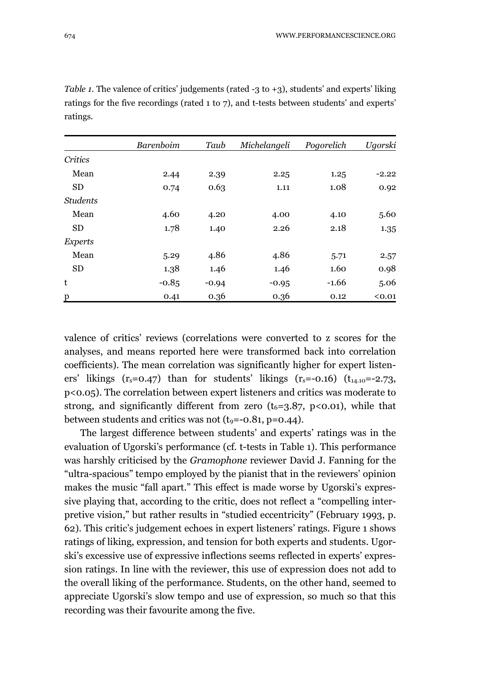|                 | Barenboim | Taub    | Michelangeli | Pogorelich | Ugorski |
|-----------------|-----------|---------|--------------|------------|---------|
| Critics         |           |         |              |            |         |
| Mean            | 2.44      | 2.39    | 2.25         | 1.25       | $-2.22$ |
| <b>SD</b>       | 0.74      | 0.63    | 1.11         | 1.08       | 0.92    |
| <b>Students</b> |           |         |              |            |         |
| Mean            | 4.60      | 4.20    | 4.00         | 4.10       | 5.60    |
| <b>SD</b>       | 1.78      | 1.40    | 2.26         | 2.18       | 1.35    |
| <i>Experts</i>  |           |         |              |            |         |
| Mean            | 5.29      | 4.86    | 4.86         | 5.71       | 2.57    |
| <b>SD</b>       | 1.38      | 1.46    | 1.46         | 1.60       | 0.98    |
| t               | $-0.85$   | $-0.94$ | $-0.95$      | $-1.66$    | 5.06    |
| p               | 0.41      | 0.36    | 0.36         | 0.12       | < 0.01  |

Table 1. The valence of critics' judgements (rated  $-3$  to  $+3$ ), students' and experts' liking ratings for the five recordings (rated 1 to 7), and t-tests between students' and experts' ratings.

valence of critics' reviews (correlations were converted to z scores for the analyses, and means reported here were transformed back into correlation coefficients). The mean correlation was significantly higher for expert listeners' likings  $(r_s=0.47)$  than for students' likings  $(r_s=-0.16)$   $(t_{14.10}=-2.73,$ p<0.05). The correlation between expert listeners and critics was moderate to strong, and significantly different from zero  $(t_{6}=3.87, \, p<0.01)$ , while that between students and critics was not  $(t_9 = -0.81, p = 0.44)$ .

The largest difference between students' and experts' ratings was in the evaluation of Ugorski's performance (cf. t-tests in Table 1). This performance was harshly criticised by the Gramophone reviewer David J. Fanning for the "ultra-spacious" tempo employed by the pianist that in the reviewers' opinion makes the music "fall apart." This effect is made worse by Ugorski's expressive playing that, according to the critic, does not reflect a "compelling interpretive vision," but rather results in "studied eccentricity" (February 1993, p. 62). This critic's judgement echoes in expert listeners' ratings. Figure 1 shows ratings of liking, expression, and tension for both experts and students. Ugorski's excessive use of expressive inflections seems reflected in experts' expression ratings. In line with the reviewer, this use of expression does not add to the overall liking of the performance. Students, on the other hand, seemed to appreciate Ugorski's slow tempo and use of expression, so much so that this recording was their favourite among the five.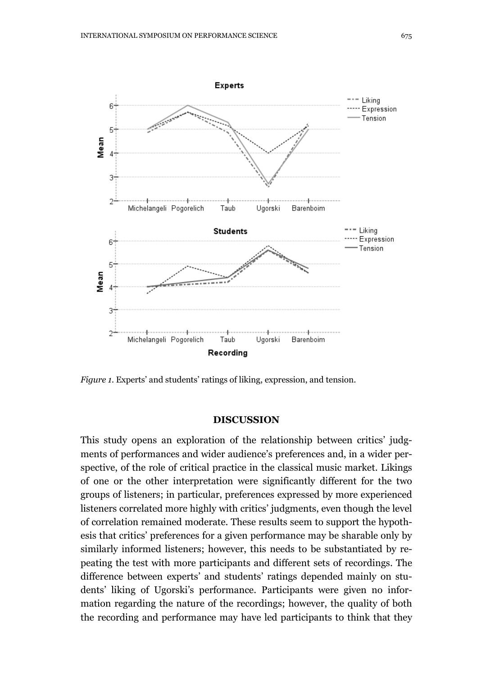

Figure 1. Experts' and students' ratings of liking, expression, and tension.

## DISCUSSION

This study opens an exploration of the relationship between critics' judgments of performances and wider audience's preferences and, in a wider perspective, of the role of critical practice in the classical music market. Likings of one or the other interpretation were significantly different for the two groups of listeners; in particular, preferences expressed by more experienced listeners correlated more highly with critics' judgments, even though the level of correlation remained moderate. These results seem to support the hypothesis that critics' preferences for a given performance may be sharable only by similarly informed listeners; however, this needs to be substantiated by repeating the test with more participants and different sets of recordings. The difference between experts' and students' ratings depended mainly on students' liking of Ugorski's performance. Participants were given no information regarding the nature of the recordings; however, the quality of both the recording and performance may have led participants to think that they